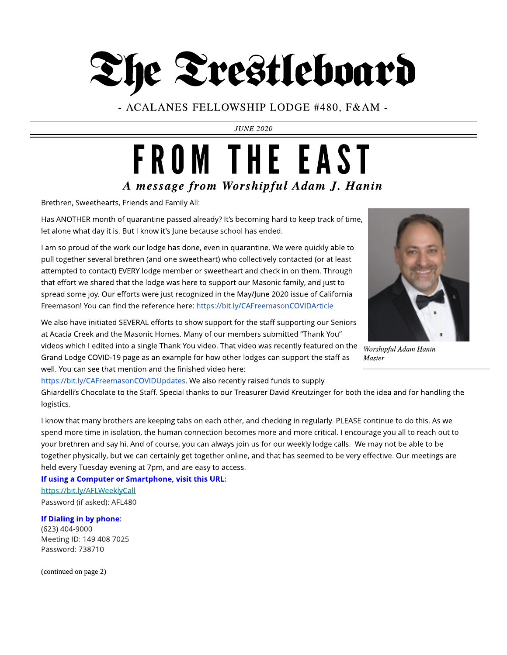## The Trestleboard

- ACALANES FELLOWSHIP LODGE #480, F& AM -

**JUNE 2020**

### **A message from Worshipful Adam J. Hanin** FROM THE EAST

Brethren, Sweethearts, Friends and Family All:

Has ANOTHER month of quarantine passed already? It's becoming hard to keep track of time, let alone what day it is. But I know it's June because school has ended.

I am so proud of the work our lodge has done, even in quarantine. We were quickly able to pull together several brethren (and one sweetheart) who collectively contacted (or at least attempted to contact) EVERY lodge member or sweetheart and check in on them. Through that effort we shared that the lodge was here to support our Masonic family, and just to spread some joy. Our efforts were just recognized in the May/June 2020 issue of California Freemason! You can find the reference here: <https://bit.ly/CAFreemasonCOVIDArticle>



**Worshipful AdamHanin Master**

We also have initiated SEVERAL efforts to show support for the staff supporting our Seniors at Acacia Creek and the Masonic Homes. Many of our members submitted "Thank You" videos which I edited into a single Thank You video. That video was recently featured on the Grand Lodge COVID-19 page as an example for how other lodges can support the staff as well. You can see that mention and the finished video here:

[https://bit.ly/CAFreemasonCOVIDUpdates.](https://bit.ly/CAFreemasonCOVIDUpdates) We also recently raised funds to supply

Ghiardelli?s Chocolate to the Staff. Special thanks to our Treasurer David Kreutzinger for both the idea and for handling the logistics.

I know that many brothers are keeping tabs on each other, and checking in regularly. PLEASE continue to do this. As we spend more time in isolation, the human connection becomes more and more critical. I encourage you all to reach out to your brethren and say hi. And of course, you can always join us for our weekly lodge calls. We may not be able to be together physically, but we can certainly get together online, and that has seemed to be very effective. Our meetings are held every Tuesday evening at 7pm, and are easy to access.

If using a Computer or Smartphone, visit this URL:

<https://bit.ly/AFLWeeklyCall> Password (if asked): AFL480

If Dialing in by phone: (623) 404-9000 Meeting ID: 149 408 7025 Password: 738710

(continued on page 2)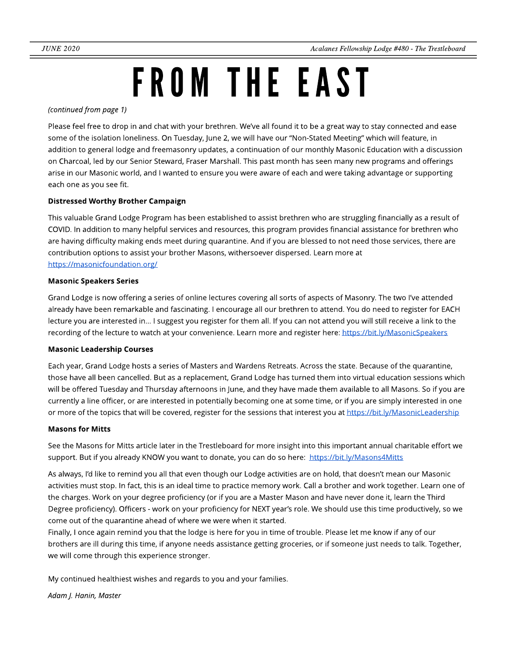## FROM THE EAST

**(continued from page 1)**

Please feel free to drop in and chat with your brethren. We've all found it to be a great way to stay connected and ease some of the isolation loneliness. On Tuesday, June 2, we will have our "Non-Stated Meeting" which will feature, in addition to general lodge and freemasonry updates, a continuation of our monthly Masonic Education with a discussion on Charcoal, led by our Senior Steward, Fraser Marshall. This past month has seen many new programs and offerings arise in our Masonic world, and I wanted to ensure you were aware of each and were taking advantage or supporting each one as you see fit.

#### Distressed Worthy Brother Campaign

This valuable Grand Lodge Program has been established to assist brethren who are struggling financially as a result of COVID. In addition to many helpful services and resources, this program provides financial assistance for brethren who are having difficulty making ends meet during quarantine. And if you are blessed to not need those services, there are contribution options to assist your brother Masons, withersoever dispersed. Learn more at <https://masonicfoundation.org/>

#### Masonic Speakers Series

Grand Lodge is now offering a series of online lectures covering all sorts of aspects of Masonry. The two I've attended already have been remarkable and fascinating. I encourage all our brethren to attend. You do need to register for EACH lecture you are interested in... I suggest you register for them all. If you can not attend you will still receive a link to the recording of the lecture to watch at your convenience. Learn more and register here: <https://bit.ly/MasonicSpeakers>

#### Masonic Leadership Courses

Each year, Grand Lodge hosts a series of Masters and Wardens Retreats. Across the state. Because of the quarantine, those have all been cancelled. But as a replacement, Grand Lodge has turned them into virtual education sessions which will be offered Tuesday and Thursday afternoons in June, and they have made them available to all Masons. So if you are currently a line officer, or are interested in potentially becoming one at some time, or if you are simply interested in one or more of the topics that will be covered, register for the sessions that interest you at <https://bit.ly/MasonicLeadership>

#### **Masons for Mitts**

See the Masons for Mitts article later in the Trestleboard for more insight into this important annual charitable effort we support. But if you already KNOW you want to donate, you can do so here: <https://bit.ly/Masons4Mitts>

As always, I'd like to remind you all that even though our Lodge activities are on hold, that doesn't mean our Masonic activities must stop. In fact, this is an ideal time to practice memory work. Call a brother and work together. Learn one of the charges. Work on your degree proficiency (or if you are a Master Mason and have never done it, learn the Third Degree proficiency). Officers - work on your proficiency for NEXT year's role. We should use this time productively, so we come out of the quarantine ahead of where we were when it started.

Finally, I once again remind you that the lodge is here for you in time of trouble. Please let me know if any of our brothers are ill during this time, if anyone needs assistance getting groceries, or if someone just needs to talk. Together, we will come through this experience stronger.

My continued healthiest wishes and regards to you and your families.

**Adam J. Hanin, Master**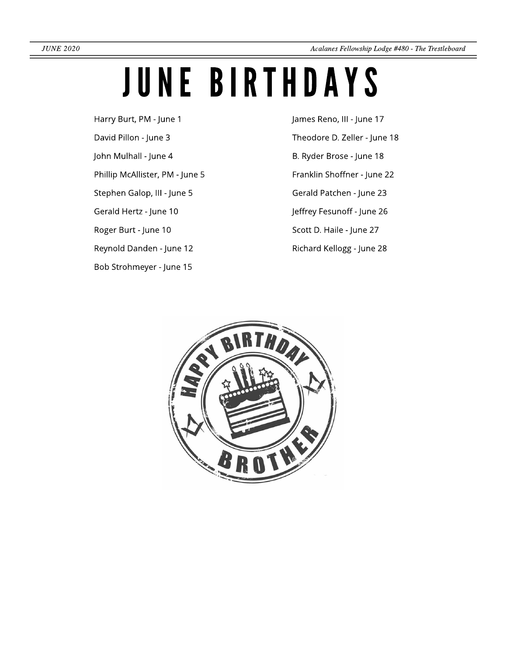## JUNE BIRTHDAYS

- Harry Burt, PM June 1
- David Pillon June 3
- John Mulhall June 4
- Phillip McAllister, PM June 5
- Stephen Galop, III June 5
- Gerald Hertz June 10
- Roger Burt June 10
- Reynold Danden June 12
- Bob Strohmeyer June 15

James Reno, III - June 17 Theodore D. Zeller - June 18 B. Ryder Brose - June 18 Franklin Shoffner - June 22 Gerald Patchen - June 23 Jeffrey Fesunoff - June 26 Scott D. Haile - June 27 Richard Kellogg - June 28

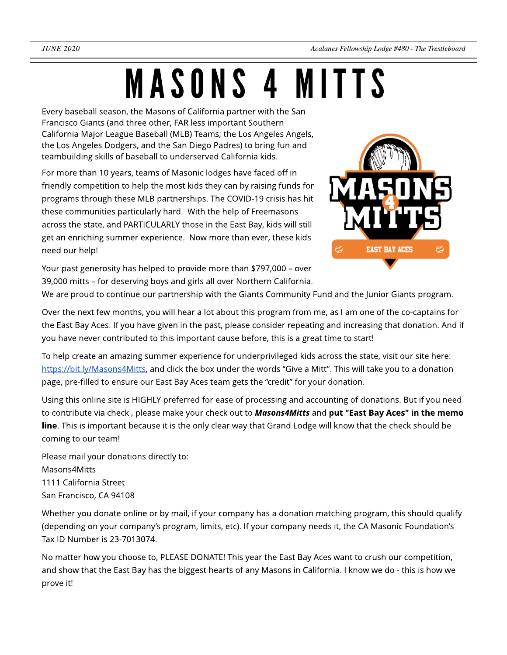## MASONS4 MITTS

Every baseball season, the Masons of California partner with the San Francisco Giants (and three other, FAR less important Southern California Major League Baseball (MLB) Teams; the Los Angeles Angels, the Los Angeles Dodgers, and the San Diego Padres) to bring fun and teambuilding skills of baseball to underserved California kids.

For more than 10 years, teams of Masonic lodges have faced off in friendly competition to help the most kids they can by raising funds for programs through these MLB partnerships. The COVID-19 crisis has hit these communities particularly hard. With the help of Freemasons across the state, and PARTICULARLY those in the East Bay, kids will still get an enriching summer experience. Now more than ever, these kids need our help!

Your past generosity has helped to provide more than \$797,000 - over 39,000 mitts - for deserving boys and girls all over Northern California.



We are proud to continue our partnership with the Giants Community Fund and the Junior Giants program.

Over the next few months, you will hear a lot about this program from me, as I am one of the co-captains for the East Bay Aces. If you have given in the past, please consider repeating and increasing that donation. And if you have never contributed to this important cause before, this is a great time to start!

To help create an amazing summer experience for underprivileged kids across the state, visit our site here: <https://bit.ly/Masons4Mitts>, and click the box under the words "Give a Mitt". This will take you to a donation page, pre-filled to ensure our East Bay Aces team gets the "credit" for your donation.

Using this online site is HIGHLY preferred for ease of processing and accounting of donations. But if you need to contribute via check, please make your check out to **Masons4Mitts** and put "East Bay Aces" in the memo line. This is important because it is the only clear way that Grand Lodge will know that the check should be coming to our team!

Please mail your donations directly to: Masons4Mitts 1111 California Street San Francisco, CA 94108

Whether you donate online or by mail, if your company has a donation matching program, this should qualify (depending on your company?s program, limits, etc). If your company needs it, the CA Masonic Foundation?s Tax ID Number is 23-7013074.

No matter how you choose to, PLEASE DONATE! This year the East Bay Aces want to crush our competition, and show that the East Bay has the biggest hearts of any Masons in California. I know we do - this is how we prove it!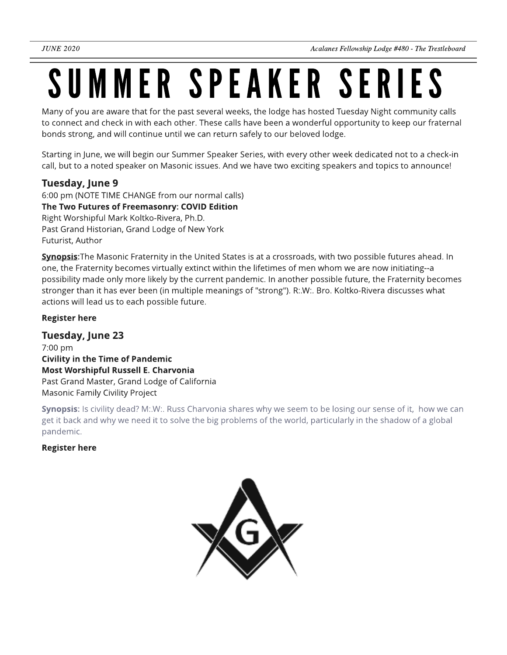### SUMMER SPEAKER SERIES

Many of you are aware that for the past several weeks, the lodge has hosted Tuesday Night community calls to connect and check in with each other. These calls have been a wonderful opportunity to keep our fraternal bonds strong, and will continue until we can return safely to our beloved lodge.

Starting in June, we will begin our Summer Speaker Series, with every other week dedicated not to a check-in call, but to a noted speaker on Masonic issues. And we have two exciting speakers and topics to announce!

### Tuesday, June 9

6:00 pm (NOTE TIME CHANGE from our normal calls) The Two Futures of Freemasonry: COVID Edition Right Worshipful Mark Koltko-Rivera, Ph.D. Past Grand Historian, Grand Lodge of New York Futurist, Author

Synopsis: The Masonic Fraternity in the United States is at a crossroads, with two possible futures ahead. In one, the Fraternity becomes virtually extinct within the lifetimes of men whom we are now initiating--a possibility made only more likely by the current pandemic. In another possible future, the Fraternity becomes stronger than it has ever been (in multiple meanings of "strong"). R:.W:. Bro. Koltko-Rivera discusses what actions will lead us to each possible future.

#### [Register](https://www.eventbrite.com/e/summer-speaker-series-rw-mark-e-koltko-rivera-phd-tickets-107016942556) [here](https://www.eventbrite.com/e/summer-speaker-series-rw-mark-e-koltko-rivera-phd-tickets-107016942556)

Tuesday, June 23 7:00 pm Civility in the Time of Pandemic Most Worshipful Russell E. Charvonia Past Grand Master, Grand Lodge of California Masonic Family Civility Project

Synopsis: Is civility dead? M:.W:. Russ Charvonia shares why we seem to be losing our sense of it, how we can get it back and why we need it to solve the big problems of the world, particularly in the shadow of a global pandemic.

[Register](https://www.eventbrite.com/e/summer-speaker-series-mw-russ-e-charvonia-tickets-107017498218) [here](https://www.eventbrite.com/e/summer-speaker-series-mw-russ-e-charvonia-tickets-107017498218)

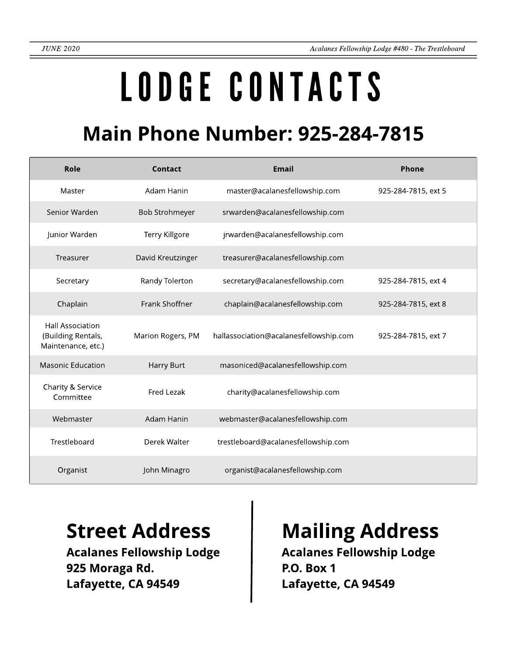# LODGECONTACTS

### **Main Phone Number: 925-284-7815**

| Role                                                                | Contact               | <b>Email</b>                           | Phone               |
|---------------------------------------------------------------------|-----------------------|----------------------------------------|---------------------|
| Master                                                              | Adam Hanin            | master@acalanesfellowship.com          | 925-284-7815, ext 5 |
| Senior Warden                                                       | <b>Bob Strohmeyer</b> | srwarden@acalanesfellowship.com        |                     |
| Junior Warden                                                       | Terry Killgore        | jrwarden@acalanesfellowship.com        |                     |
| Treasurer                                                           | David Kreutzinger     | treasurer@acalanesfellowship.com       |                     |
| Secretary                                                           | Randy Tolerton        | secretary@acalanesfellowship.com       | 925-284-7815, ext 4 |
| Chaplain                                                            | Frank Shoffner        | chaplain@acalanesfellowship.com        | 925-284-7815, ext 8 |
| <b>Hall Association</b><br>(Building Rentals,<br>Maintenance, etc.) | Marion Rogers, PM     | hallassociation@acalanesfellowship.com | 925-284-7815, ext 7 |
| <b>Masonic Education</b>                                            | Harry Burt            | masoniced@acalanesfellowship.com       |                     |
| Charity & Service<br>Committee                                      | Fred Lezak            | charity@acalanesfellowship.com         |                     |
| Webmaster                                                           | Adam Hanin            | webmaster@acalanesfellowship.com       |                     |
| Trestleboard                                                        | Derek Walter          | trestleboard@acalanesfellowship.com    |                     |
| Organist                                                            | John Minagro          | organist@acalanesfellowship.com        |                     |

Acalanes Fellowship Lodge 925 Moraga Rd. Lafayette, CA 94549

### Street Address | Mailing Address

Acalanes Fellowship Lodge P.O. Box 1 Lafayette, CA 94549